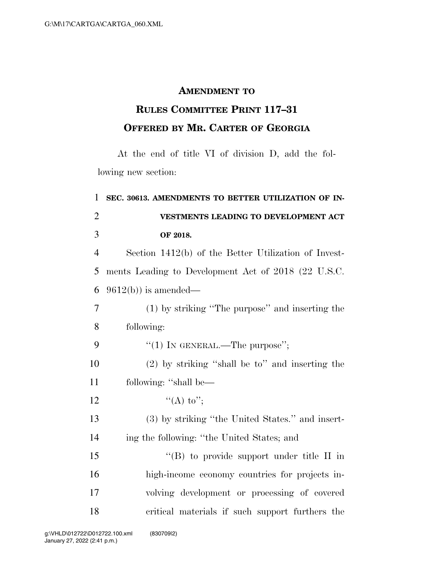## **AMENDMENT TO**

## **RULES COMMITTEE PRINT 117–31 OFFERED BY MR. CARTER OF GEORGIA**

At the end of title VI of division D, add the following new section:

| 1              | SEC. 30613. AMENDMENTS TO BETTER UTILIZATION OF IN-  |
|----------------|------------------------------------------------------|
| $\overline{2}$ | VESTMENTS LEADING TO DEVELOPMENT ACT                 |
| 3              | OF 2018.                                             |
| $\overline{4}$ | Section 1412(b) of the Better Utilization of Invest- |
| 5              | ments Leading to Development Act of 2018 (22 U.S.C.  |
| 6              | $9612(b)$ is amended—                                |
| $\overline{7}$ | (1) by striking "The purpose" and inserting the      |
| 8              | following:                                           |
| 9              | "(1) IN GENERAL.—The purpose";                       |
| 10             | $(2)$ by striking "shall be to" and inserting the    |
| 11             | following: "shall be—                                |
| 12             | "(A) to";                                            |
| 13             | (3) by striking "the United States." and insert-     |
| 14             | ing the following: "the United States; and           |
| 15             | $\lq\lq (B)$ to provide support under title II in    |
| 16             | high-income economy countries for projects in-       |
| 17             | volving development or processing of covered         |
| 18             | critical materials if such support furthers the      |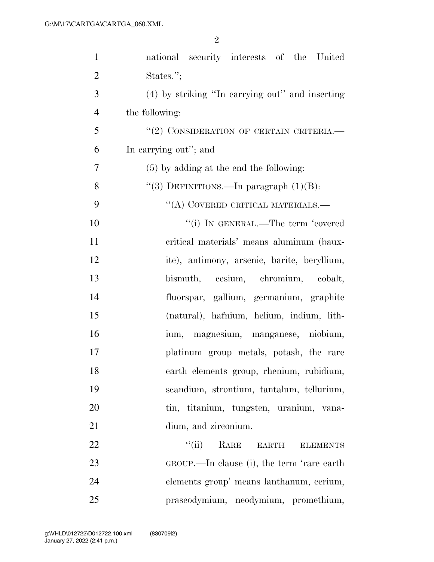| $\mathbf{1}$   | national security interests of the United                               |
|----------------|-------------------------------------------------------------------------|
| $\overline{2}$ | States.";                                                               |
| 3              | (4) by striking "In carrying out" and inserting                         |
| $\overline{4}$ | the following:                                                          |
| 5              | "(2) CONSIDERATION OF CERTAIN CRITERIA.                                 |
| 6              | In carrying out"; and                                                   |
| 7              | $(5)$ by adding at the end the following:                               |
| 8              | "(3) DEFINITIONS.—In paragraph $(1)(B)$ :                               |
| 9              | $\lq\lq$ (A) COVERED CRITICAL MATERIALS.—                               |
| 10             | "(i) IN GENERAL.—The term 'covered                                      |
| 11             | critical materials' means aluminum (baux-                               |
| 12             | ite), antimony, arsenic, barite, beryllium,                             |
| 13             | bismuth, cesium, chromium, cobalt,                                      |
| 14             | fluorspar, gallium, germanium, graphite                                 |
| 15             | (natural), hafnium, helium, indium, lith-                               |
| 16             | ium, magnesium, manganese, niobium,                                     |
| 17             | platinum group metals, potash, the rare                                 |
| 18             | earth elements group, rhenium, rubidium,                                |
| 19             | scandium, strontium, tantalum, tellurium,                               |
| 20             | tin, titanium, tungsten, uranium, vana-                                 |
| 21             | dium, and zirconium.                                                    |
| 22             | $\lq(\mathbf{ii})$<br>RARE<br>$\operatorname{EARTH}$<br><b>ELEMENTS</b> |
| 23             | GROUP.—In clause (i), the term 'rare earth                              |
| 24             | elements group' means lanthanum, cerium,                                |
| 25             | praseodymium, neodymium, promethium,                                    |